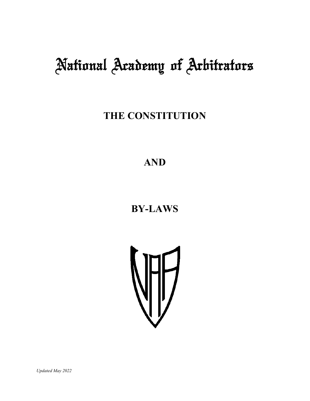# National Academy of Arbitrators

**THE CONSTITUTION** 

**AND** 

# **BY-LAWS**



*Updated May 2022*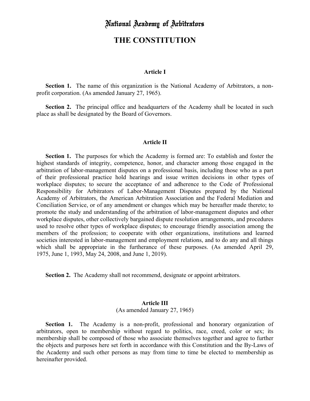# National Academy of Arbitrators

# **THE CONSTITUTION**

#### **Article I**

 **Section 1.** The name of this organization is the National Academy of Arbitrators, a nonprofit corporation. (As amended January 27, 1965).

 **Section 2.** The principal office and headquarters of the Academy shall be located in such place as shall be designated by the Board of Governors.

#### **Article II**

 **Section 1.** The purposes for which the Academy is formed are: To establish and foster the highest standards of integrity, competence, honor, and character among those engaged in the arbitration of labor-management disputes on a professional basis, including those who as a part of their professional practice hold hearings and issue written decisions in other types of workplace disputes; to secure the acceptance of and adherence to the Code of Professional Responsibility for Arbitrators of Labor-Management Disputes prepared by the National Academy of Arbitrators, the American Arbitration Association and the Federal Mediation and Conciliation Service, or of any amendment or changes which may be hereafter made thereto; to promote the study and understanding of the arbitration of labor-management disputes and other workplace disputes, other collectively bargained dispute resolution arrangements, and procedures used to resolve other types of workplace disputes; to encourage friendly association among the members of the profession; to cooperate with other organizations, institutions and learned societies interested in labor-management and employment relations, and to do any and all things which shall be appropriate in the furtherance of these purposes. (As amended April 29, 1975, June 1, 1993, May 24, 2008, and June 1, 2019).

**Section 2.** The Academy shall not recommend, designate or appoint arbitrators.

#### **Article III**

(As amended January 27, 1965)

 **Section 1.** The Academy is a non-profit, professional and honorary organization of arbitrators, open to membership without regard to politics, race, creed, color or sex; its membership shall be composed of those who associate themselves together and agree to further the objects and purposes here set forth in accordance with this Constitution and the By-Laws of the Academy and such other persons as may from time to time be elected to membership as hereinafter provided.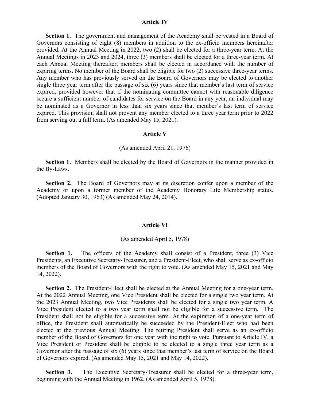#### **Article IV**

Section 1. The government and management of the Academy shall be vested in a Board of Governors consisting of eight (8) members in addition to the ex-officio members hereinafter provided. At the Annual Meeting in 2022, two (2) shall be elected for a three-year term. At the Annual Meetings in 2023 and 2024, three (3) members shall be elected for a three-year term. At each Annual Meeting thereafter, members shall be elected in accordance with the number of expiring terms. No member of the Board shall be eligible for two (2) successive three-year terms. Any member who has previously served on the Board of Governors may be elected to another single three year term after the passage of six (6) years since that member's last term of service expired, provided however that if the nominating committee cannot with reasonable diligence secure a sufficient number of candidates for service on the Board in any year, an individual may be nominated as a Governor in less than six years since that member's last term of service expired. This provision shall not prevent any member elected to a three year term prior to 2022 from serving out a full term. (As amended May 15, 2021).

#### **Article V**

#### (As amended April 21, 1976)

 **Section 1.** Members shall be elected by the Board of Governors in the manner provided in the By-Laws.

 **Section 2.** The Board of Governors may at its discretion confer upon a member of the Academy or upon a former member of the Academy Honorary Life Membership status. (Adopted January 30, 1963) (As amended May 24, 2014).

#### **Article VI**

#### (As amended April 5, 1978)

Section 1. The officers of the Academy shall consist of a President, three (3) Vice Presidents, an Executive Secretary-Treasurer, and a President-Elect, who shall serve as ex-officio members of the Board of Governors with the right to vote. (As amended May 15, 2021 and May 14, 2022).

**Section 2.** The President-Elect shall be elected at the Annual Meeting for a one-year term. At the 2022 Annual Meeting, one Vice President shall be elected for a single two year term. At the 2023 Annual Meeting, two Vice Presidents shall be elected for a single two year term. A Vice President elected to a two year term shall not be eligible for a successive term. The President shall not be eligible for a successive term. At the expiration of a one-year term of office, the President shall automatically be succeeded by the President-Elect who had been elected at the previous Annual Meeting. The retiring President shall serve as an ex-officio member of the Board of Governors for one year with the right to vote. Pursuant to Article IV, a Vice President or President shall be eligible to be elected to a single three year term as a Governor after the passage of six (6) years since that member's last term of service on the Board of Governors expired. (As amended May 15, 2021 and May 14, 2022).

 **Section 3.** The Executive Secretary-Treasurer shall be elected for a three-year term, beginning with the Annual Meeting in 1962. (As amended April 5, 1978).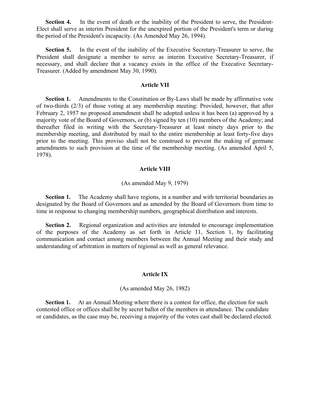Section 4. In the event of death or the inability of the President to serve, the President-Elect shall serve as interim President for the unexpired portion of the President's term or during the period of the President's incapacity. (As Amended May 26, 1994).

**Section 5.** In the event of the inability of the Executive Secretary-Treasurer to serve, the President shall designate a member to serve as interim Executive Secretary-Treasurer, if necessary, and shall declare that a vacancy exists in the office of the Executive Secretary-Treasurer. (Added by amendment May 30, 1990).

#### **Article VII**

 **Section 1.** Amendments to the Constitution or By-Laws shall be made by affirmative vote of two-thirds (2/3) of those voting at any membership meeting: Provided, however, that after February 2, 1957 no proposed amendment shall be adopted unless it has been (a) approved by a majority vote of the Board of Governors, or (b) signed by ten (10) members of the Academy; and thereafter filed in writing with the Secretary-Treasurer at least ninety days prior to the membership meeting, and distributed by mail to the entire membership at least forty-five days prior to the meeting. This proviso shall not be construed to prevent the making of germane amendments to such provision at the time of the membership meeting. (As amended April 5, 1978).

#### **Article VIII**

#### (As amended May 9, 1979)

**Section 1.** The Academy shall have regions, in a number and with territorial boundaries as designated by the Board of Governors and as amended by the Board of Governors from time to time in response to changing membership numbers, geographical distribution and interests.

**Section 2.** Regional organization and activities are intended to encourage implementation of the purposes of the Academy as set forth in Article 11, Section 1, by facilitating communication and contact among members between the Annual Meeting and their study and understanding of arbitration in matters of regional as well as general relevance.

#### **Article IX**

(As amended May 26, 1982)

**Section 1.** At an Annual Meeting where there is a contest for office, the election for such contested office or offices shall be by secret ballot of the members in attendance. The candidate or candidates, as the case may be, receiving a majority of the votes cast shall be declared elected.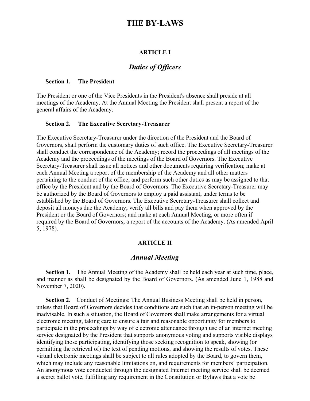# **THE BY-LAWS**

#### **ARTICLE I**

## *Duties of Officers*

#### **Section 1. The President**

The President or one of the Vice Presidents in the President's absence shall preside at all meetings of the Academy. At the Annual Meeting the President shall present a report of the general affairs of the Academy.

#### **Section 2. The Executive Secretary-Treasurer**

The Executive Secretary-Treasurer under the direction of the President and the Board of Governors, shall perform the customary duties of such office. The Executive Secretary-Treasurer shall conduct the correspondence of the Academy; record the proceedings of all meetings of the Academy and the proceedings of the meetings of the Board of Governors. The Executive Secretary-Treasurer shall issue all notices and other documents requiring verification; make at each Annual Meeting a report of the membership of the Academy and all other matters pertaining to the conduct of the office; and perform such other duties as may be assigned to that office by the President and by the Board of Governors. The Executive Secretary-Treasurer may be authorized by the Board of Governors to employ a paid assistant, under terms to be established by the Board of Governors. The Executive Secretary-Treasurer shall collect and deposit all moneys due the Academy; verify all bills and pay them when approved by the President or the Board of Governors; and make at each Annual Meeting, or more often if required by the Board of Governors, a report of the accounts of the Academy. (As amended April 5, 1978).

#### **ARTICLE II**

#### *Annual Meeting*

**Section 1.** The Annual Meeting of the Academy shall be held each year at such time, place, and manner as shall be designated by the Board of Governors. (As amended June 1, 1988 and November 7, 2020).

**Section 2.** Conduct of Meetings: The Annual Business Meeting shall be held in person, unless that Board of Governors decides that conditions are such that an in-person meeting will be inadvisable. In such a situation, the Board of Governors shall make arrangements for a virtual electronic meeting, taking care to ensure a fair and reasonable opportunity for members to participate in the proceedings by way of electronic attendance through use of an internet meeting service designated by the President that supports anonymous voting and supports visible displays identifying those participating, identifying those seeking recognition to speak, showing (or permitting the retrieval of) the text of pending motions, and showing the results of votes. These virtual electronic meetings shall be subject to all rules adopted by the Board, to govern them, which may include any reasonable limitations on, and requirements for members' participation. An anonymous vote conducted through the designated Internet meeting service shall be deemed a secret ballot vote, fulfilling any requirement in the Constitution or Bylaws that a vote be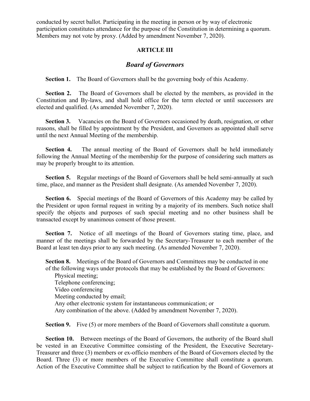conducted by secret ballot. Participating in the meeting in person or by way of electronic participation constitutes attendance for the purpose of the Constitution in determining a quorum. Members may not vote by proxy. (Added by amendment November 7, 2020).

#### **ARTICLE III**

### *Board of Governors*

**Section 1.** The Board of Governors shall be the governing body of this Academy.

 **Section 2.** The Board of Governors shall be elected by the members, as provided in the Constitution and By-laws, and shall hold office for the term elected or until successors are elected and qualified. (As amended November 7, 2020).

**Section 3.** Vacancies on the Board of Governors occasioned by death, resignation, or other reasons, shall be filled by appointment by the President, and Governors as appointed shall serve until the next Annual Meeting of the membership.

**Section 4.** The annual meeting of the Board of Governors shall be held immediately following the Annual Meeting of the membership for the purpose of considering such matters as may be properly brought to its attention.

**Section 5.** Regular meetings of the Board of Governors shall be held semi-annually at such time, place, and manner as the President shall designate. (As amended November 7, 2020).

 **Section 6.** Special meetings of the Board of Governors of this Academy may be called by the President or upon formal request in writing by a majority of its members. Such notice shall specify the objects and purposes of such special meeting and no other business shall be transacted except by unanimous consent of those present.

 **Section 7.** Notice of all meetings of the Board of Governors stating time, place, and manner of the meetings shall be forwarded by the Secretary-Treasurer to each member of the Board at least ten days prior to any such meeting. (As amended November 7, 2020).

**Section 8.** Meetings of the Board of Governors and Committees may be conducted in one of the following ways under protocols that may be established by the Board of Governors:

Physical meeting; Telephone conferencing; Video conferencing Meeting conducted by email; Any other electronic system for instantaneous communication; or Any combination of the above. (Added by amendment November 7, 2020).

**Section 9.** Five (5) or more members of the Board of Governors shall constitute a quorum.

**Section 10.** Between meetings of the Board of Governors, the authority of the Board shall be vested in an Executive Committee consisting of the President, the Executive Secretary-Treasurer and three (3) members or ex-officio members of the Board of Governors elected by the Board. Three (3) or more members of the Executive Committee shall constitute a quorum. Action of the Executive Committee shall be subject to ratification by the Board of Governors at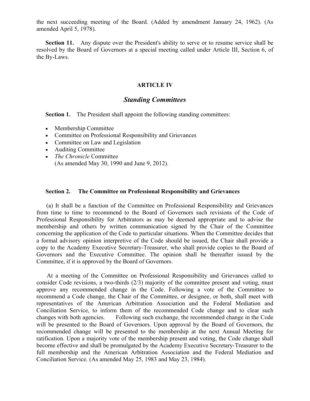the next succeeding meeting of the Board. (Added by amendment January 24, 1962). (As amended April 5, 1978).

**Section 11.** Any dispute over the President's ability to serve or to resume service shall be resolved by the Board of Governors at a special meeting called under Article III, Section 6, of the By-Laws.

#### **ARTICLE IV**

#### *Standing Committees*

**Section 1.** The President shall appoint the following standing committees:

- Membership Committee
- Committee on Professional Responsibility and Grievances
- Committee on Law and Legislation
- Auditing Committee
- *The Chronicle* Committee (As amended May 30, 1990 and June 9, 2012).

#### **Section 2. The Committee on Professional Responsibility and Grievances**

 (a) It shall be a function of the Committee on Professional Responsibility and Grievances from time to time to recommend to the Board of Governors such revisions of the Code of Professional Responsibility for Arbitrators as may be deemed appropriate and to advise the membership and others by written communication signed by the Chair of the Committee concerning the application of the Code to particular situations. When the Committee decides that a formal advisory opinion interpretive of the Code should be issued, the Chair shall provide a copy to the Academy Executive Secretary-Treasurer, who shall provide copies to the Board of Governors and the Executive Committee. The opinion shall be thereafter issued by the Committee, if it is approved by the Board of Governors.

 At a meeting of the Committee on Professional Responsibility and Grievances called to consider Code revisions, a two-thirds (2/3) majority of the committee present and voting, must approve any recommended change in the Code. Following a vote of the Committee to recommend a Code change, the Chair of the Committee, or designee, or both, shall meet with representatives of the American Arbitration Association and the Federal Mediation and Conciliation Service, to inform them of the recommended Code change and to clear such changes with both agencies. Following such exchange, the recommended change in the Code will be presented to the Board of Governors. Upon approval by the Board of Governors, the recommended change will be presented to the membership at the next Annual Meeting for ratification. Upon a majority vote of the membership present and voting, the Code change shall become effective and shall be promulgated by the Academy Executive Secretary-Treasurer to the full membership and the American Arbitration Association and the Federal Mediation and Conciliation Service. (As amended May 25, 1983 and May 23, 1984).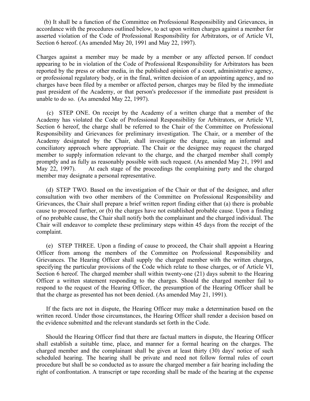(b) It shall be a function of the Committee on Professional Responsibility and Grievances, in accordance with the procedures outlined below, to act upon written charges against a member for asserted violation of the Code of Professional Responsibility for Arbitrators, or of Article VI, Section 6 hereof. (As amended May 20, 1991 and May 22, 1997).

Charges against a member may be made by a member or any affected person. If conduct appearing to be in violation of the Code of Professional Responsibility for Arbitrators has been reported by the press or other media, in the published opinion of a court, administrative agency, or professional regulatory body, or in the final, written decision of an appointing agency, and no charges have been filed by a member or affected person, charges may be filed by the immediate past president of the Academy, or that person's predecessor if the immediate past president is unable to do so. (As amended May 22, 1997).

 (c) STEP ONE. On receipt by the Academy of a written charge that a member of the Academy has violated the Code of Professional Responsibility for Arbitrators, or Article VI, Section 6 hereof, the charge shall be referred to the Chair of the Committee on Professional Responsibility and Grievances for preliminary investigation. The Chair, or a member of the Academy designated by the Chair, shall investigate the charge, using an informal and conciliatory approach where appropriate. The Chair or the designee may request the charged member to supply information relevant to the charge, and the charged member shall comply promptly and as fully as reasonably possible with such request. (As amended May 21, 1991 and May 22, 1997). At each stage of the proceedings the complaining party and the charged member may designate a personal representative.

 (d) STEP TWO. Based on the investigation of the Chair or that of the designee, and after consultation with two other members of the Committee on Professional Responsibility and Grievances, the Chair shall prepare a brief written report finding either that (a) there is probable cause to proceed further, or (b) the charges have not established probable cause. Upon a finding of no probable cause, the Chair shall notify both the complainant and the charged individual. The Chair will endeavor to complete these preliminary steps within 45 days from the receipt of the complaint.

 (e) STEP THREE. Upon a finding of cause to proceed, the Chair shall appoint a Hearing Officer from among the members of the Committee on Professional Responsibility and Grievances. The Hearing Officer shall supply the charged member with the written charges, specifying the particular provisions of the Code which relate to those charges, or of Article VI, Section 6 hereof. The charged member shall within twenty-one (21) days submit to the Hearing Officer a written statement responding to the charges. Should the charged member fail to respond to the request of the Hearing Officer, the presumption of the Hearing Officer shall be that the charge as presented has not been denied. (As amended May 21, 1991).

 If the facts are not in dispute, the Hearing Officer may make a determination based on the written record. Under those circumstances, the Hearing Officer shall render a decision based on the evidence submitted and the relevant standards set forth in the Code.

 Should the Hearing Officer find that there are factual matters in dispute, the Hearing Officer shall establish a suitable time, place, and manner for a formal hearing on the charges. The charged member and the complainant shall be given at least thirty (30) days' notice of such scheduled hearing. The hearing shall be private and need not follow formal rules of court procedure but shall be so conducted as to assure the charged member a fair hearing including the right of confrontation. A transcript or tape recording shall be made of the hearing at the expense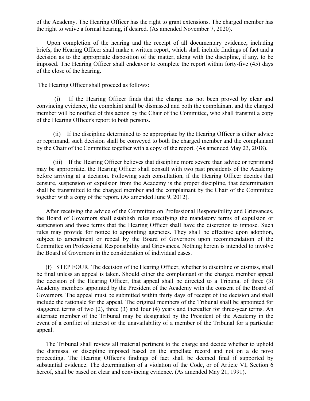of the Academy. The Hearing Officer has the right to grant extensions. The charged member has the right to waive a formal hearing, if desired. (As amended November 7, 2020).

 Upon completion of the hearing and the receipt of all documentary evidence, including briefs, the Hearing Officer shall make a written report, which shall include findings of fact and a decision as to the appropriate disposition of the matter, along with the discipline, if any, to be imposed. The Hearing Officer shall endeavor to complete the report within forty-five (45) days of the close of the hearing.

The Hearing Officer shall proceed as follows:

 (i) If the Hearing Officer finds that the charge has not been proved by clear and convincing evidence, the complaint shall be dismissed and both the complainant and the charged member will be notified of this action by the Chair of the Committee, who shall transmit a copy of the Hearing Officer's report to both persons.

 (ii) If the discipline determined to be appropriate by the Hearing Officer is either advice or reprimand, such decision shall be conveyed to both the charged member and the complainant by the Chair of the Committee together with a copy of the report. (As amended May 23, 2018).

 (iii) If the Hearing Officer believes that discipline more severe than advice or reprimand may be appropriate, the Hearing Officer shall consult with two past presidents of the Academy before arriving at a decision. Following such consultation, if the Hearing Officer decides that censure, suspension or expulsion from the Academy is the proper discipline, that determination shall be transmitted to the charged member and the complainant by the Chair of the Committee together with a copy of the report. (As amended June 9, 2012).

 After receiving the advice of the Committee on Professional Responsibility and Grievances, the Board of Governors shall establish rules specifying the mandatory terms of expulsion or suspension and those terms that the Hearing Officer shall have the discretion to impose. Such rules may provide for notice to appointing agencies. They shall be effective upon adoption, subject to amendment or repeal by the Board of Governors upon recommendation of the Committee on Professional Responsibility and Grievances. Nothing herein is intended to involve the Board of Governors in the consideration of individual cases.

 (f) STEP FOUR. The decision of the Hearing Officer, whether to discipline or dismiss, shall be final unless an appeal is taken. Should either the complainant or the charged member appeal the decision of the Hearing Officer, that appeal shall be directed to a Tribunal of three (3) Academy members appointed by the President of the Academy with the consent of the Board of Governors. The appeal must be submitted within thirty days of receipt of the decision and shall include the rationale for the appeal. The original members of the Tribunal shall be appointed for staggered terms of two (2), three (3) and four (4) years and thereafter for three-year terms. An alternate member of the Tribunal may be designated by the President of the Academy in the event of a conflict of interest or the unavailability of a member of the Tribunal for a particular appeal.

 The Tribunal shall review all material pertinent to the charge and decide whether to uphold the dismissal or discipline imposed based on the appellate record and not on a de novo proceeding. The Hearing Officer's findings of fact shall be deemed final if supported by substantial evidence. The determination of a violation of the Code, or of Article VI, Section 6 hereof, shall be based on clear and convincing evidence. (As amended May 21, 1991).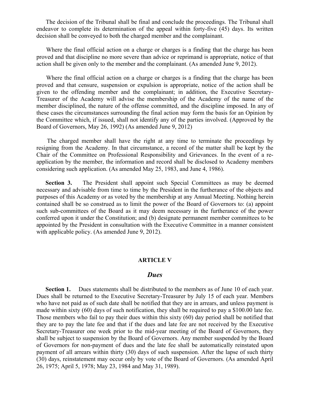The decision of the Tribunal shall be final and conclude the proceedings. The Tribunal shall endeavor to complete its determination of the appeal within forty-five (45) days. Its written decision shall be conveyed to both the charged member and the complainant.

 Where the final official action on a charge or charges is a finding that the charge has been proved and that discipline no more severe than advice or reprimand is appropriate, notice of that action shall be given only to the member and the complainant. (As amended June 9, 2012).

 Where the final official action on a charge or charges is a finding that the charge has been proved and that censure, suspension or expulsion is appropriate, notice of the action shall be given to the offending member and the complainant; in addition, the Executive Secretary-Treasurer of the Academy will advise the membership of the Academy of the name of the member disciplined, the nature of the offense committed, and the discipline imposed. In any of these cases the circumstances surrounding the final action may form the basis for an Opinion by the Committee which, if issued, shall not identify any of the parties involved. (Approved by the Board of Governors, May 26, 1992) (As amended June 9, 2012)

 The charged member shall have the right at any time to terminate the proceedings by resigning from the Academy. In that circumstance, a record of the matter shall be kept by the Chair of the Committee on Professional Responsibility and Grievances. In the event of a reapplication by the member, the information and record shall be disclosed to Academy members considering such application. (As amended May 25, 1983, and June 4, 1986).

**Section 3.** The President shall appoint such Special Committees as may be deemed necessary and advisable from time to time by the President in the furtherance of the objects and purposes of this Academy or as voted by the membership at any Annual Meeting. Nothing herein contained shall be so construed as to limit the power of the Board of Governors to: (a) appoint such sub-committees of the Board as it may deem necessary in the furtherance of the power conferred upon it under the Constitution; and (b) designate permanent member committees to be appointed by the President in consultation with the Executive Committee in a manner consistent with applicable policy. (As amended June 9, 2012).

#### **ARTICLE V**

#### *Dues*

Section 1. Dues statements shall be distributed to the members as of June 10 of each year. Dues shall be returned to the Executive Secretary-Treasurer by July 15 of each year. Members who have not paid as of such date shall be notified that they are in arrears, and unless payment is made within sixty (60) days of such notification, they shall be required to pay a \$100.00 late fee. Those members who fail to pay their dues within this sixty (60) day period shall be notified that they are to pay the late fee and that if the dues and late fee are not received by the Executive Secretary-Treasurer one week prior to the mid-year meeting of the Board of Governors, they shall be subject to suspension by the Board of Governors. Any member suspended by the Board of Governors for non-payment of dues and the late fee shall be automatically reinstated upon payment of all arrears within thirty (30) days of such suspension. After the lapse of such thirty (30) days, reinstatement may occur only by vote of the Board of Governors. (As amended April 26, 1975; April 5, 1978; May 23, 1984 and May 31, 1989).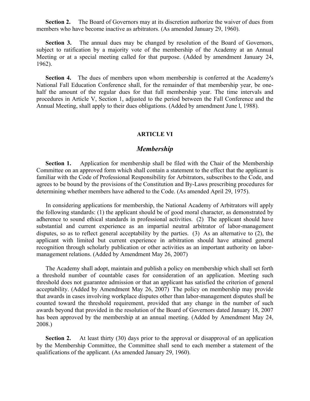**Section 2.** The Board of Governors may at its discretion authorize the waiver of dues from members who have become inactive as arbitrators. (As amended January 29, 1960).

**Section 3.** The annual dues may be changed by resolution of the Board of Governors, subject to ratification by a majority vote of the membership of the Academy at an Annual Meeting or at a special meeting called for that purpose. (Added by amendment January 24, 1962).

**Section 4.** The dues of members upon whom membership is conferred at the Academy's National Fall Education Conference shall, for the remainder of that membership year, be onehalf the amount of the regular dues for that full membership year. The time intervals and procedures in Article V, Section 1, adjusted to the period between the Fall Conference and the Annual Meeting, shall apply to their dues obligations. (Added by amendment June l, 1988).

#### **ARTICLE VI**

#### *Membership*

**Section 1.** Application for membership shall be filed with the Chair of the Membership Committee on an approved form which shall contain a statement to the effect that the applicant is familiar with the Code of Professional Responsibility for Arbitrators, subscribes to the Code, and agrees to be bound by the provisions of the Constitution and By-Laws prescribing procedures for determining whether members have adhered to the Code. (As amended April 29, 1975).

 In considering applications for membership, the National Academy of Arbitrators will apply the following standards: (1) the applicant should be of good moral character, as demonstrated by adherence to sound ethical standards in professional activities. (2) The applicant should have substantial and current experience as an impartial neutral arbitrator of labor-management disputes, so as to reflect general acceptability by the parties. (3) As an alternative to (2), the applicant with limited but current experience in arbitration should have attained general recognition through scholarly publication or other activities as an important authority on labormanagement relations. (Added by Amendment May 26, 2007)

 The Academy shall adopt, maintain and publish a policy on membership which shall set forth a threshold number of countable cases for consideration of an application. Meeting such threshold does not guarantee admission or that an applicant has satisfied the criterion of general acceptability. (Added by Amendment May 26, 2007) The policy on membership may provide that awards in cases involving workplace disputes other than labor-management disputes shall be counted toward the threshold requirement, provided that any change in the number of such awards beyond that provided in the resolution of the Board of Governors dated January 18, 2007 has been approved by the membership at an annual meeting. (Added by Amendment May 24, 2008.)

**Section 2.** At least thirty (30) days prior to the approval or disapproval of an application by the Membership Committee, the Committee shall send to each member a statement of the qualifications of the applicant. (As amended January 29, 1960).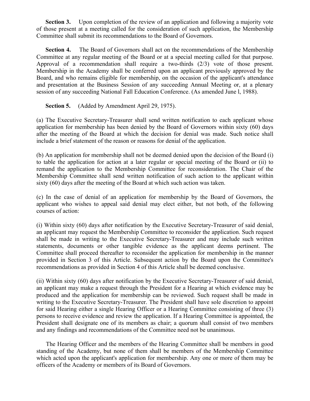**Section 3.** Upon completion of the review of an application and following a majority vote of those present at a meeting called for the consideration of such application, the Membership Committee shall submit its recommendations to the Board of Governors.

**Section 4.** The Board of Governors shall act on the recommendations of the Membership Committee at any regular meeting of the Board or at a special meeting called for that purpose. Approval of a recommendation shall require a two-thirds (2/3) vote of those present. Membership in the Academy shall be conferred upon an applicant previously approved by the Board, and who remains eligible for membership, on the occasion of the applicant's attendance and presentation at the Business Session of any succeeding Annual Meeting or, at a plenary session of any succeeding National Fall Education Conference. (As amended June l, 1988).

 **Section 5.** (Added by Amendment April 29, 1975).

(a) The Executive Secretary-Treasurer shall send written notification to each applicant whose application for membership has been denied by the Board of Governors within sixty (60) days after the meeting of the Board at which the decision for denial was made. Such notice shall include a brief statement of the reason or reasons for denial of the application.

(b) An application for membership shall not be deemed denied upon the decision of the Board (i) to table the application for action at a later regular or special meeting of the Board or (ii) to remand the application to the Membership Committee for reconsideration. The Chair of the Membership Committee shall send written notification of such action to the applicant within sixty (60) days after the meeting of the Board at which such action was taken.

(c) In the case of denial of an application for membership by the Board of Governors, the applicant who wishes to appeal said denial may elect either, but not both, of the following courses of action:

(i) Within sixty (60) days after notification by the Executive Secretary-Treasurer of said denial, an applicant may request the Membership Committee to reconsider the application. Such request shall be made in writing to the Executive Secretary-Treasurer and may include such written statements, documents or other tangible evidence as the applicant deems pertinent. The Committee shall proceed thereafter to reconsider the application for membership in the manner provided in Section 3 of this Article. Subsequent action by the Board upon the Committee's recommendations as provided in Section 4 of this Article shall be deemed conclusive.

(ii) Within sixty (60) days after notification by the Executive Secretary-Treasurer of said denial, an applicant may make a request through the President for a Hearing at which evidence may be produced and the application for membership can be reviewed. Such request shall be made in writing to the Executive Secretary-Treasurer. The President shall have sole discretion to appoint for said Hearing either a single Hearing Officer or a Hearing Committee consisting of three (3) persons to receive evidence and review the application. If a Hearing Committee is appointed, the President shall designate one of its members as chair; a quorum shall consist of two members and any findings and recommendations of the Committee need not be unanimous.

 The Hearing Officer and the members of the Hearing Committee shall be members in good standing of the Academy, but none of them shall be members of the Membership Committee which acted upon the applicant's application for membership. Any one or more of them may be officers of the Academy or members of its Board of Governors.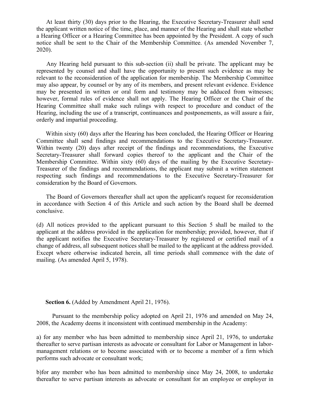At least thirty (30) days prior to the Hearing, the Executive Secretary-Treasurer shall send the applicant written notice of the time, place, and manner of the Hearing and shall state whether a Hearing Officer or a Hearing Committee has been appointed by the President. A copy of such notice shall be sent to the Chair of the Membership Committee. (As amended November 7, 2020).

 Any Hearing held pursuant to this sub-section (ii) shall be private. The applicant may be represented by counsel and shall have the opportunity to present such evidence as may be relevant to the reconsideration of the application for membership. The Membership Committee may also appear, by counsel or by any of its members, and present relevant evidence. Evidence may be presented in written or oral form and testimony may be adduced from witnesses; however, formal rules of evidence shall not apply. The Hearing Officer or the Chair of the Hearing Committee shall make such rulings with respect to procedure and conduct of the Hearing, including the use of a transcript, continuances and postponements, as will assure a fair, orderly and impartial proceeding.

 Within sixty (60) days after the Hearing has been concluded, the Hearing Officer or Hearing Committee shall send findings and recommendations to the Executive Secretary-Treasurer. Within twenty (20) days after receipt of the findings and recommendations, the Executive Secretary-Treasurer shall forward copies thereof to the applicant and the Chair of the Membership Committee. Within sixty (60) days of the mailing by the Executive Secretary-Treasurer of the findings and recommendations, the applicant may submit a written statement respecting such findings and recommendations to the Executive Secretary-Treasurer for consideration by the Board of Governors.

 The Board of Governors thereafter shall act upon the applicant's request for reconsideration in accordance with Section 4 of this Article and such action by the Board shall be deemed conclusive.

(d) All notices provided to the applicant pursuant to this Section 5 shall be mailed to the applicant at the address provided in the application for membership; provided, however, that if the applicant notifies the Executive Secretary-Treasurer by registered or certified mail of a change of address, all subsequent notices shall be mailed to the applicant at the address provided. Except where otherwise indicated herein, all time periods shall commence with the date of mailing. (As amended April 5, 1978).

 **Section 6.** (Added by Amendment April 21, 1976).

 Pursuant to the membership policy adopted on April 21, 1976 and amended on May 24, 2008, the Academy deems it inconsistent with continued membership in the Academy:

a) for any member who has been admitted to membership since April 21, 1976, to undertake thereafter to serve partisan interests as advocate or consultant for Labor or Management in labormanagement relations or to become associated with or to become a member of a firm which performs such advocate or consultant work;

b)for any member who has been admitted to membership since May 24, 2008, to undertake thereafter to serve partisan interests as advocate or consultant for an employee or employer in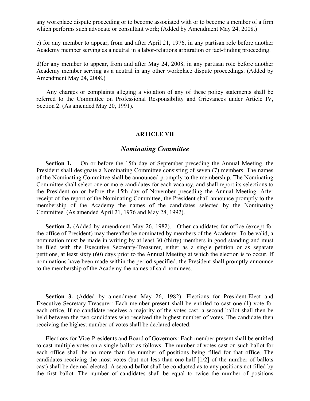any workplace dispute proceeding or to become associated with or to become a member of a firm which performs such advocate or consultant work; (Added by Amendment May 24, 2008.)

c) for any member to appear, from and after April 21, 1976, in any partisan role before another Academy member serving as a neutral in a labor-relations arbitration or fact-finding proceeding.

d)for any member to appear, from and after May 24, 2008, in any partisan role before another Academy member serving as a neutral in any other workplace dispute proceedings. (Added by Amendment May 24, 2008.)

 Any charges or complaints alleging a violation of any of these policy statements shall be referred to the Committee on Professional Responsibility and Grievances under Article IV, Section 2. (As amended May 20, 1991).

#### **ARTICLE VII**

#### *Nominating Committee*

 **Section 1.** On or before the 15th day of September preceding the Annual Meeting, the President shall designate a Nominating Committee consisting of seven (7) members. The names of the Nominating Committee shall be announced promptly to the membership. The Nominating Committee shall select one or more candidates for each vacancy, and shall report its selections to the President on or before the 15th day of November preceding the Annual Meeting. After receipt of the report of the Nominating Committee, the President shall announce promptly to the membership of the Academy the names of the candidates selected by the Nominating Committee. (As amended April 21, 1976 and May 28, 1992).

 **Section 2.** (Added by amendment May 26, 1982). Other candidates for office (except for the office of President) may thereafter be nominated by members of the Academy. To be valid, a nomination must be made in writing by at least 30 (thirty) members in good standing and must be filed with the Executive Secretary-Treasurer, either as a single petition or as separate petitions, at least sixty (60) days prior to the Annual Meeting at which the election is to occur. If nominations have been made within the period specified, the President shall promptly announce to the membership of the Academy the names of said nominees.

 **Section 3.** (Added by amendment May 26, 1982). Elections for President-Elect and Executive Secretary-Treasurer: Each member present shall be entitled to cast one (1) vote for each office. If no candidate receives a majority of the votes cast, a second ballot shall then be held between the two candidates who received the highest number of votes. The candidate then receiving the highest number of votes shall be declared elected.

 Elections for Vice-Presidents and Board of Governors: Each member present shall be entitled to cast multiple votes on a single ballot as follows: The number of votes cast on such ballot for each office shall be no more than the number of positions being filled for that office. The candidates receiving the most votes (but not less than one-half [1/2] of the number of ballots cast) shall be deemed elected. A second ballot shall be conducted as to any positions not filled by the first ballot. The number of candidates shall be equal to twice the number of positions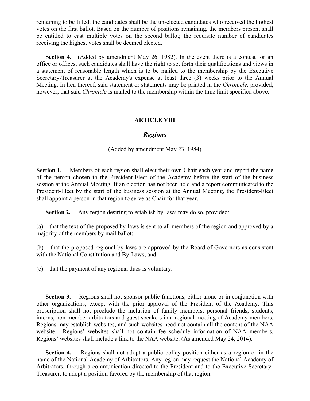remaining to be filled; the candidates shall be the un-elected candidates who received the highest votes on the first ballot. Based on the number of positions remaining, the members present shall be entitled to cast multiple votes on the second ballot; the requisite number of candidates receiving the highest votes shall be deemed elected.

 **Section 4.** (Added by amendment May 26, 1982). In the event there is a contest for an office or offices, such candidates shall have the right to set forth their qualifications and views in a statement of reasonable length which is to be mailed to the membership by the Executive Secretary-Treasurer at the Academy's expense at least three (3) weeks prior to the Annual Meeting. In lieu thereof, said statement or statements may be printed in the *Chronicle,* provided, however, that said *Chronicle* is mailed to the membership within the time limit specified above.

#### **ARTICLE VIII**

#### *Regions*

#### (Added by amendment May 23, 1984)

**Section 1.** Members of each region shall elect their own Chair each year and report the name of the person chosen to the President-Elect of the Academy before the start of the business session at the Annual Meeting. If an election has not been held and a report communicated to the President-Elect by the start of the business session at the Annual Meeting, the President-Elect shall appoint a person in that region to serve as Chair for that year.

 **Section 2.** Any region desiring to establish by-laws may do so, provided:

(a) that the text of the proposed by-laws is sent to all members of the region and approved by a majority of the members by mail ballot;

(b) that the proposed regional by-laws are approved by the Board of Governors as consistent with the National Constitution and By-Laws; and

(c) that the payment of any regional dues is voluntary.

**Section 3.** Regions shall not sponsor public functions, either alone or in conjunction with other organizations, except with the prior approval of the President of the Academy. This proscription shall not preclude the inclusion of family members, personal friends, students, interns, non-member arbitrators and guest speakers in a regional meeting of Academy members. Regions may establish websites, and such websites need not contain all the content of the NAA website. Regions' websites shall not contain fee schedule information of NAA members. Regions' websites shall include a link to the NAA website. (As amended May 24, 2014).

 **Section 4.** Regions shall not adopt a public policy position either as a region or in the name of the National Academy of Arbitrators. Any region may request the National Academy of Arbitrators, through a communication directed to the President and to the Executive Secretary-Treasurer, to adopt a position favored by the membership of that region.